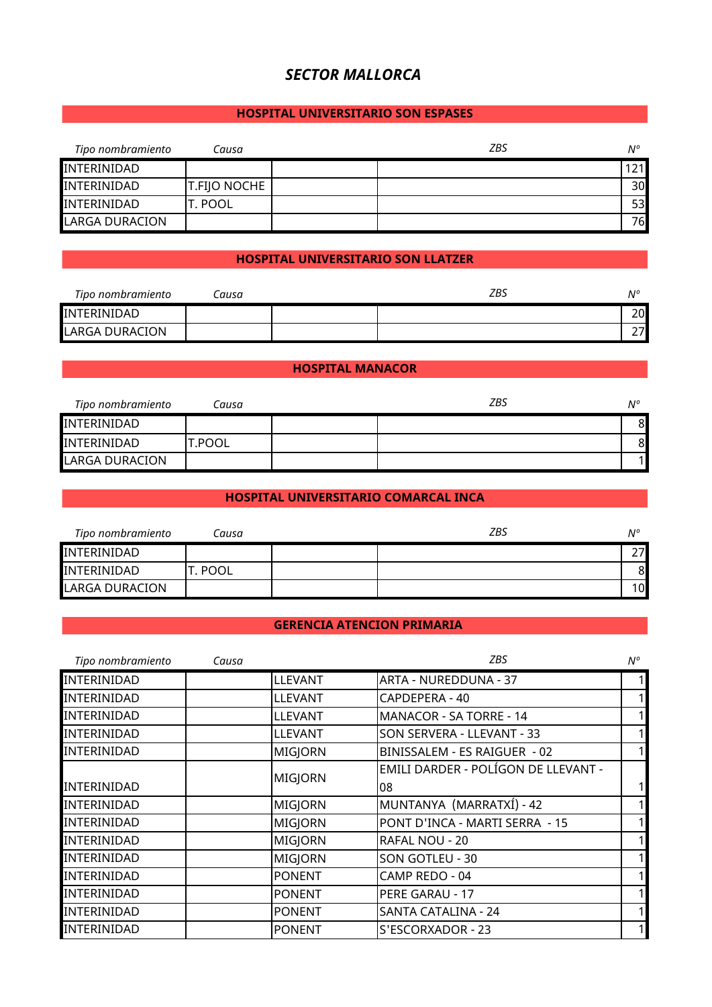# *SECTOR MALLORCA*

## **HOSPITAL UNIVERSITARIO SON ESPASES**

| Tipo nombramiento | Causa               | ZBS | $N^{\circ}$     |
|-------------------|---------------------|-----|-----------------|
| INTERINIDAD       |                     |     | 121             |
| INTERINIDAD       | <b>T.FIJO NOCHE</b> |     | 30 <sup>l</sup> |
| INTERINIDAD       | IT. POOL            |     | 53              |
| LARGA DURACION    |                     |     | 76              |

## **HOSPITAL UNIVERSITARIO SON LLATZER**

| Tipo nombramiento | ausa: | ZBS | ٨I° |
|-------------------|-------|-----|-----|
| INTERINIDAD       |       |     | 20  |
| LARGA DURACION    |       |     |     |

#### **HOSPITAL MANACOR**

| Tipo nombramiento | Causa  | ZBS | $N^{\circ}$ |
|-------------------|--------|-----|-------------|
| INTERINIDAD       |        |     | 8           |
| INTERINIDAD       | T.POOL |     | 81          |
| LARGA DURACION    |        |     |             |

## **HOSPITAL UNIVERSITARIO COMARCAL INCA**

| Tipo nombramiento     | Causa       | ZBS | $N^{\circ}$ |
|-----------------------|-------------|-----|-------------|
| INTERINIDAD           |             |     | ¬¬          |
| INTERINIDAD           | <b>POOL</b> |     | 8           |
| <b>LARGA DURACION</b> |             |     | 10          |

## **GERENCIA ATENCION PRIMARIA**

| Tipo nombramiento  | Causa |                | <b>ZBS</b>                          | N°           |
|--------------------|-------|----------------|-------------------------------------|--------------|
| <b>INTERINIDAD</b> |       | <b>LLEVANT</b> | ARTA - NUREDDUNA - 37               | 1            |
| INTERINIDAD        |       | <b>LLEVANT</b> | CAPDEPERA - 40                      | $\mathbf{1}$ |
| INTERINIDAD        |       | <b>LLEVANT</b> | <b>MANACOR - SA TORRE - 14</b>      | 1            |
| INTERINIDAD        |       | <b>LLEVANT</b> | SON SERVERA - LLEVANT - 33          | 1            |
| <b>INTERINIDAD</b> |       | MIGJORN        | BINISSALEM - ES RAIGUER - 02        | 1            |
|                    |       |                | EMILI DARDER - POLÍGON DE LLEVANT - |              |
| <b>INTERINIDAD</b> |       | MIGJORN        | 08                                  | 1            |
| <b>INTERINIDAD</b> |       | MIGJORN        | MUNTANYA (MARRATXÍ) - 42            | 1            |
| INTERINIDAD        |       | MIGJORN        | PONT D'INCA - MARTI SERRA - 15      | 1            |
| INTERINIDAD        |       | <b>MIGJORN</b> | RAFAL NOU - 20                      | 1            |
| <b>INTERINIDAD</b> |       | <b>MIGJORN</b> | <b>SON GOTLEU - 30</b>              | 1            |
| <b>INTERINIDAD</b> |       | <b>PONENT</b>  | CAMP REDO - 04                      | 11           |
| INTERINIDAD        |       | <b>PONENT</b>  | PERE GARAU - 17                     | 1            |
| <b>INTERINIDAD</b> |       | <b>PONENT</b>  | <b>SANTA CATALINA - 24</b>          | 1            |
| <b>INTERINIDAD</b> |       | <b>PONENT</b>  | S'ESCORXADOR - 23                   |              |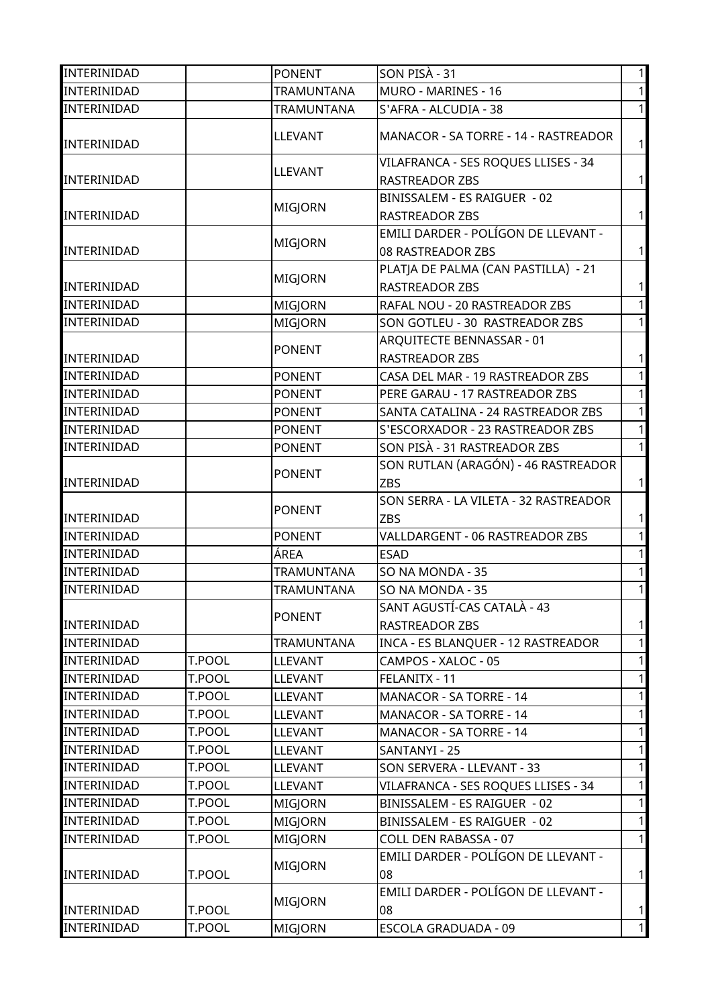| INTERINIDAD        |        | <b>PONENT</b>     | SON PISA - 31                         | 1            |
|--------------------|--------|-------------------|---------------------------------------|--------------|
| INTERINIDAD        |        | TRAMUNTANA        | MURO - MARINES - 16                   | $\mathbf{1}$ |
| INTERINIDAD        |        | <b>TRAMUNTANA</b> | S'AFRA - ALCUDIA - 38                 | $\mathbf{1}$ |
| INTERINIDAD        |        | <b>LLEVANT</b>    | MANACOR - SA TORRE - 14 - RASTREADOR  | 1            |
|                    |        |                   | VILAFRANCA - SES ROQUES LLISES - 34   |              |
| INTERINIDAD        |        | <b>LLEVANT</b>    | <b>RASTREADOR ZBS</b>                 | 1            |
|                    |        |                   | BINISSALEM - ES RAIGUER - 02          |              |
| INTERINIDAD        |        | <b>MIGJORN</b>    | RASTREADOR ZBS                        | 1            |
|                    |        |                   | EMILI DARDER - POLÍGON DE LLEVANT -   |              |
| INTERINIDAD        |        | <b>MIGJORN</b>    | 08 RASTREADOR ZBS                     | $\mathbf{1}$ |
|                    |        |                   | PLATJA DE PALMA (CAN PASTILLA) - 21   |              |
| INTERINIDAD        |        | MIGJORN           | RASTREADOR ZBS                        | $\mathbf{1}$ |
| <b>INTERINIDAD</b> |        | MIGJORN           | RAFAL NOU - 20 RASTREADOR ZBS         | $\mathbf{1}$ |
| INTERINIDAD        |        | MIGJORN           | SON GOTLEU - 30 RASTREADOR ZBS        | 11           |
|                    |        |                   | ARQUITECTE BENNASSAR - 01             |              |
| INTERINIDAD        |        | <b>PONENT</b>     | RASTREADOR ZBS                        | $\mathbf{1}$ |
| <b>INTERINIDAD</b> |        | <b>PONENT</b>     | CASA DEL MAR - 19 RASTREADOR ZBS      | $\mathbf{1}$ |
| INTERINIDAD        |        | <b>PONENT</b>     | PERE GARAU - 17 RASTREADOR ZBS        | $\mathbf{1}$ |
| INTERINIDAD        |        | <b>PONENT</b>     | SANTA CATALINA - 24 RASTREADOR ZBS    | $\mathbf{1}$ |
| <b>INTERINIDAD</b> |        | <b>PONENT</b>     | S'ESCORXADOR - 23 RASTREADOR ZBS      | $\mathbf{1}$ |
| INTERINIDAD        |        | <b>PONENT</b>     | SON PISÀ - 31 RASTREADOR ZBS          | $\mathbf{1}$ |
|                    |        |                   | SON RUTLAN (ARAGÓN) - 46 RASTREADOR   |              |
| INTERINIDAD        |        | <b>PONENT</b>     | <b>ZBS</b>                            | $\mathbf{1}$ |
|                    |        |                   | SON SERRA - LA VILETA - 32 RASTREADOR |              |
| INTERINIDAD        |        | <b>PONENT</b>     | <b>ZBS</b>                            | $\mathbf{1}$ |
| INTERINIDAD        |        | <b>PONENT</b>     | VALLDARGENT - 06 RASTREADOR ZBS       | $\mathbf{1}$ |
| INTERINIDAD        |        | ÁREA              | <b>ESAD</b>                           | 1            |
| <b>INTERINIDAD</b> |        | TRAMUNTANA        | SO NA MONDA - 35                      | $\mathbf{1}$ |
| <b>INTERINIDAD</b> |        | TRAMUNTANA        | SO NA MONDA - 35                      | 1            |
|                    |        |                   | SANT AGUSTÍ-CAS CATALÀ - 43           |              |
| INTERINIDAD        |        | <b>PONENT</b>     | RASTREADOR ZBS                        | $\vert$      |
| <b>INTERINIDAD</b> |        | TRAMUNTANA        | INCA - ES BLANQUER - 12 RASTREADOR    | $\mathbf{1}$ |
| INTERINIDAD        | T.POOL | <b>LLEVANT</b>    | CAMPOS - XALOC - 05                   | $\mathbf{1}$ |
| <b>INTERINIDAD</b> | T.POOL | LLEVANT           | FELANITX - 11                         | $\mathbf{1}$ |
| <b>INTERINIDAD</b> | T.POOL | <b>LLEVANT</b>    | MANACOR - SA TORRE - 14               | $\mathbf{1}$ |
| <b>INTERINIDAD</b> | T.POOL | LLEVANT           | MANACOR - SA TORRE - 14               | $\mathbf{1}$ |
| <b>INTERINIDAD</b> | T.POOL | <b>LLEVANT</b>    | MANACOR - SA TORRE - 14               | $\mathbf{1}$ |
| <b>INTERINIDAD</b> | T.POOL | <b>LLEVANT</b>    | SANTANYI - 25                         | $\mathbf{1}$ |
| INTERINIDAD        | T.POOL | <b>LLEVANT</b>    | SON SERVERA - LLEVANT - 33            | 1            |
| <b>INTERINIDAD</b> | T.POOL | <b>LLEVANT</b>    | VILAFRANCA - SES ROQUES LLISES - 34   | $\mathbf{1}$ |
| <b>INTERINIDAD</b> | T.POOL | MIGJORN           | BINISSALEM - ES RAIGUER - 02          | 1            |
| INTERINIDAD        | T.POOL | <b>MIGJORN</b>    | BINISSALEM - ES RAIGUER - 02          | $\vert$      |
| <b>INTERINIDAD</b> | T.POOL | MIGJORN           | COLL DEN RABASSA - 07                 | $\mathbf{1}$ |
|                    |        |                   | EMILI DARDER - POLÍGON DE LLEVANT -   |              |
| <b>INTERINIDAD</b> | T.POOL | <b>MIGJORN</b>    | 08                                    | $\vert$      |
|                    |        |                   | EMILI DARDER - POLÍGON DE LLEVANT -   |              |
| <b>INTERINIDAD</b> | T.POOL | <b>MIGJORN</b>    | 08                                    | 1            |
| INTERINIDAD        | T.POOL | <b>MIGJORN</b>    | <b>ESCOLA GRADUADA - 09</b>           | 1            |
|                    |        |                   |                                       |              |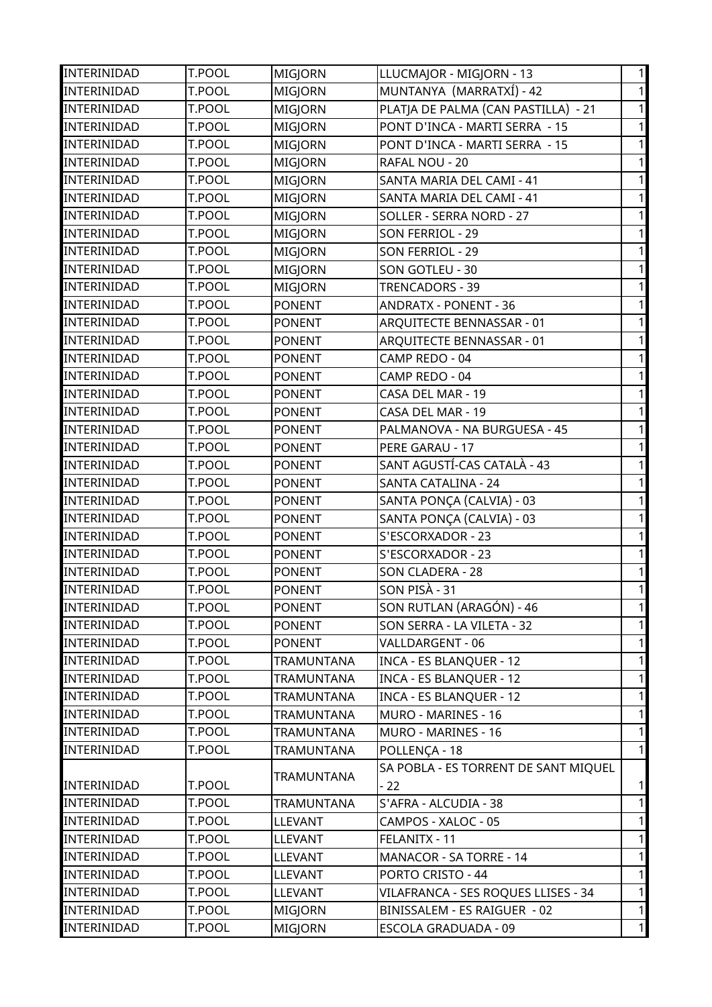| INTERINIDAD        | T.POOL        | MIGJORN           | LLUCMAJOR - MIGJORN - 13             | $\mathbf{1}$ |
|--------------------|---------------|-------------------|--------------------------------------|--------------|
| INTERINIDAD        | T.POOL        | <b>MIGJORN</b>    | MUNTANYA (MARRATXÍ) - 42             | $\mathbf{1}$ |
| INTERINIDAD        | T.POOL        | <b>MIGJORN</b>    | PLATJA DE PALMA (CAN PASTILLA) - 21  | $\mathbf{1}$ |
| INTERINIDAD        | T.POOL        | <b>MIGJORN</b>    | PONT D'INCA - MARTI SERRA - 15       | $\mathbf{1}$ |
| INTERINIDAD        | T.POOL        | MIGJORN           | PONT D'INCA - MARTI SERRA - 15       | 1            |
| INTERINIDAD        | T.POOL        | MIGJORN           | RAFAL NOU - 20                       | $\mathbf{1}$ |
| INTERINIDAD        | T.POOL        | MIGJORN           | SANTA MARIA DEL CAMI - 41            | 1            |
| INTERINIDAD        | T.POOL        | MIGJORN           | SANTA MARIA DEL CAMI - 41            | $\mathbf{1}$ |
| INTERINIDAD        | T.POOL        | <b>MIGJORN</b>    | SOLLER - SERRA NORD - 27             | 1            |
| INTERINIDAD        | T.POOL        | MIGJORN           | <b>SON FERRIOL - 29</b>              | $\mathbf{1}$ |
| INTERINIDAD        | T.POOL        | MIGJORN           | SON FERRIOL - 29                     | 1            |
| INTERINIDAD        | T.POOL        | <b>MIGJORN</b>    | SON GOTLEU - 30                      | $\mathbf{1}$ |
| INTERINIDAD        | <b>T.POOL</b> | MIGJORN           | TRENCADORS - 39                      | 1            |
| INTERINIDAD        | T.POOL        | <b>PONENT</b>     | <b>ANDRATX - PONENT - 36</b>         | $\mathbf{1}$ |
| INTERINIDAD        | T.POOL        | <b>PONENT</b>     | ARQUITECTE BENNASSAR - 01            | $\mathbf{1}$ |
| INTERINIDAD        | T.POOL        | <b>PONENT</b>     | ARQUITECTE BENNASSAR - 01            | $\mathbf{1}$ |
| INTERINIDAD        | T.POOL        | <b>PONENT</b>     | CAMP REDO - 04                       | $\mathbf{1}$ |
| INTERINIDAD        | T.POOL        | <b>PONENT</b>     | CAMP REDO - 04                       | $\mathbf{1}$ |
| INTERINIDAD        | T.POOL        | <b>PONENT</b>     | CASA DEL MAR - 19                    | $\mathbf{1}$ |
| INTERINIDAD        | T.POOL        | <b>PONENT</b>     | CASA DEL MAR - 19                    | $\mathbf{1}$ |
| INTERINIDAD        | T.POOL        | <b>PONENT</b>     | PALMANOVA - NA BURGUESA - 45         | $\mathbf{1}$ |
| INTERINIDAD        | T.POOL        | <b>PONENT</b>     | PERE GARAU - 17                      | $\mathbf{1}$ |
| INTERINIDAD        | T.POOL        | <b>PONENT</b>     | SANT AGUSTÍ-CAS CATALÀ - 43          | $\mathbf{1}$ |
| INTERINIDAD        | T.POOL        | <b>PONENT</b>     | SANTA CATALINA - 24                  | $\mathbf{1}$ |
| INTERINIDAD        | T.POOL        | <b>PONENT</b>     | SANTA PONÇA (CALVIA) - 03            | $\mathbf{1}$ |
| <b>INTERINIDAD</b> | T.POOL        | <b>PONENT</b>     | SANTA PONÇA (CALVIA) - 03            | $\mathbf{1}$ |
| INTERINIDAD        | T.POOL        | <b>PONENT</b>     | S'ESCORXADOR - 23                    | $\mathbf{1}$ |
| INTERINIDAD        | T.POOL        | <b>PONENT</b>     | S'ESCORXADOR - 23                    | $\mathbf{1}$ |
| INTERINIDAD        | T.POOL        | <b>PONENT</b>     | <b>SON CLADERA - 28</b>              | $\mathbf{1}$ |
| INTERINIDAD        | T.POOL        | <b>PONENT</b>     | SON PISA - 31                        | $\mathbf{1}$ |
| <b>INTERINIDAD</b> | T.POOL        | <b>PONENT</b>     | SON RUTLAN (ARAGÓN) - 46             | $\mathbf{1}$ |
| INTERINIDAD        | T.POOL        | <b>PONENT</b>     | SON SERRA - LA VILETA - 32           | 1            |
| <b>INTERINIDAD</b> | T.POOL        | <b>PONENT</b>     | VALLDARGENT - 06                     | $\mathbf{1}$ |
| <b>INTERINIDAD</b> | T.POOL        | TRAMUNTANA        | <b>INCA - ES BLANQUER - 12</b>       | 1            |
| <b>INTERINIDAD</b> | T.POOL        | <b>TRAMUNTANA</b> | <b>INCA - ES BLANQUER - 12</b>       | $\mathbf{1}$ |
| <b>INTERINIDAD</b> | T.POOL        | TRAMUNTANA        | INCA - ES BLANQUER - 12              | 1            |
| INTERINIDAD        | T.POOL        | TRAMUNTANA        | MURO - MARINES - 16                  | $\mathbf{1}$ |
| <b>INTERINIDAD</b> | T.POOL        | TRAMUNTANA        | MURO - MARINES - 16                  | $\mathbf{1}$ |
| INTERINIDAD        | T.POOL        | TRAMUNTANA        | POLLENÇA - 18                        | $\mathbf{1}$ |
|                    |               |                   | SA POBLA - ES TORRENT DE SANT MIQUEL |              |
| INTERINIDAD        | T.POOL        | <b>TRAMUNTANA</b> | $-22$                                | $\mathbf{1}$ |
| <b>INTERINIDAD</b> | T.POOL        | TRAMUNTANA        | S'AFRA - ALCUDIA - 38                | $\mathbf{1}$ |
| INTERINIDAD        | T.POOL        | <b>LLEVANT</b>    | CAMPOS - XALOC - 05                  | $\mathbf{1}$ |
| <b>INTERINIDAD</b> | T.POOL        | <b>LLEVANT</b>    | FELANITX - 11                        | $\mathbf{1}$ |
| INTERINIDAD        | T.POOL        | <b>LLEVANT</b>    | MANACOR - SA TORRE - 14              | 1            |
| <b>INTERINIDAD</b> | T.POOL        | <b>LLEVANT</b>    | PORTO CRISTO - 44                    | $\mathbf{1}$ |
| <b>INTERINIDAD</b> | T.POOL        | <b>LLEVANT</b>    | VILAFRANCA - SES ROQUES LLISES - 34  | 1            |
| INTERINIDAD        | T.POOL        | <b>MIGJORN</b>    | BINISSALEM - ES RAIGUER - 02         | $\mathbf{1}$ |
| INTERINIDAD        | T.POOL        | <b>MIGJORN</b>    | <b>ESCOLA GRADUADA - 09</b>          | $\mathbf{1}$ |
|                    |               |                   |                                      |              |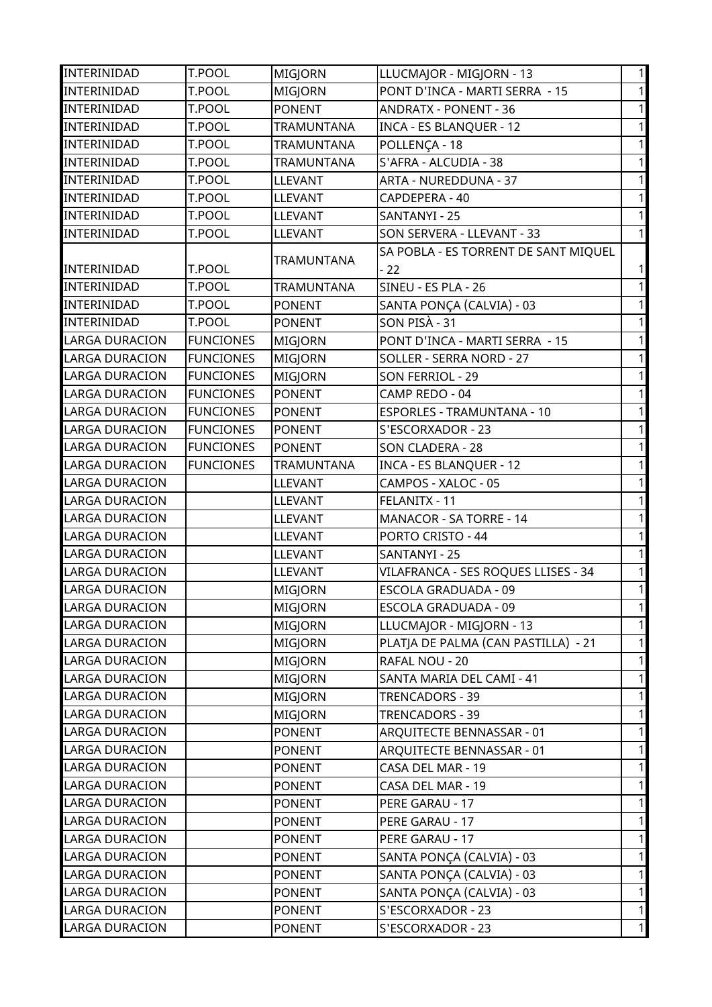| <b>INTERINIDAD</b>    | T.POOL           | <b>MIGJORN</b> | LLUCMAJOR - MIGJORN - 13             | $\mathbf{1}$ |
|-----------------------|------------------|----------------|--------------------------------------|--------------|
| INTERINIDAD           | T.POOL           | <b>MIGJORN</b> | PONT D'INCA - MARTI SERRA - 15       | $\mathbf{1}$ |
| INTERINIDAD           | T.POOL           | <b>PONENT</b>  | <b>ANDRATX - PONENT - 36</b>         | $\mathbf{1}$ |
| INTERINIDAD           | T.POOL           | TRAMUNTANA     | <b>INCA - ES BLANQUER - 12</b>       | 1            |
| INTERINIDAD           | T.POOL           | TRAMUNTANA     | POLLENÇA - 18                        | 1            |
| INTERINIDAD           | T.POOL           | TRAMUNTANA     | S'AFRA - ALCUDIA - 38                | $\mathbf{1}$ |
| INTERINIDAD           | T.POOL           | <b>LLEVANT</b> | ARTA - NUREDDUNA - 37                | 1            |
| INTERINIDAD           | T.POOL           | <b>LLEVANT</b> | CAPDEPERA - 40                       | $\mathbf{1}$ |
| INTERINIDAD           | T.POOL           | <b>LLEVANT</b> | SANTANYI - 25                        | 1            |
| INTERINIDAD           | T.POOL           | <b>LLEVANT</b> | SON SERVERA - LLEVANT - 33           | $\mathbf{1}$ |
|                       |                  |                | SA POBLA - ES TORRENT DE SANT MIQUEL |              |
| INTERINIDAD           | T.POOL           | TRAMUNTANA     | $-22$                                | $\mathbf{1}$ |
| INTERINIDAD           | <b>T.POOL</b>    | TRAMUNTANA     | SINEU - ES PLA - 26                  | $\mathbf{1}$ |
| INTERINIDAD           | T.POOL           | <b>PONENT</b>  | SANTA PONÇA (CALVIA) - 03            | $\mathbf{1}$ |
| INTERINIDAD           | T.POOL           | <b>PONENT</b>  | SON PISA - 31                        | $\mathbf{1}$ |
| <b>LARGA DURACION</b> | <b>FUNCIONES</b> | MIGJORN        | PONT D'INCA - MARTI SERRA - 15       | $\mathbf{1}$ |
| <b>LARGA DURACION</b> | <b>FUNCIONES</b> | <b>MIGJORN</b> | SOLLER - SERRA NORD - 27             | $\mathbf{1}$ |
| <b>LARGA DURACION</b> | <b>FUNCIONES</b> | MIGJORN        | SON FERRIOL - 29                     | $\mathbf{1}$ |
| <b>LARGA DURACION</b> | <b>FUNCIONES</b> | <b>PONENT</b>  | CAMP REDO - 04                       | $\mathbf{1}$ |
| <b>LARGA DURACION</b> | <b>FUNCIONES</b> | <b>PONENT</b>  | ESPORLES - TRAMUNTANA - 10           | $\mathbf{1}$ |
| <b>LARGA DURACION</b> | <b>FUNCIONES</b> | <b>PONENT</b>  | S'ESCORXADOR - 23                    | $\mathbf{1}$ |
| <b>LARGA DURACION</b> | <b>FUNCIONES</b> | <b>PONENT</b>  | SON CLADERA - 28                     | $\mathbf{1}$ |
| <b>LARGA DURACION</b> | <b>FUNCIONES</b> | TRAMUNTANA     | <b>INCA - ES BLANQUER - 12</b>       | $\mathbf{1}$ |
| <b>LARGA DURACION</b> |                  | <b>LLEVANT</b> | CAMPOS - XALOC - 05                  | $\mathbf{1}$ |
| <b>LARGA DURACION</b> |                  | <b>LLEVANT</b> | FELANITX - 11                        | $\mathbf{1}$ |
| <b>LARGA DURACION</b> |                  | <b>LLEVANT</b> | MANACOR - SA TORRE - 14              | $\mathbf{1}$ |
| <b>LARGA DURACION</b> |                  | <b>LLEVANT</b> | PORTO CRISTO - 44                    | $\mathbf{1}$ |
| <b>LARGA DURACION</b> |                  | <b>LLEVANT</b> | SANTANYI - 25                        | $\mathbf{1}$ |
| <b>LARGA DURACION</b> |                  | <b>LLEVANT</b> | VILAFRANCA - SES ROQUES LLISES - 34  | $\mathbf{1}$ |
| <b>LARGA DURACION</b> |                  | MIGJORN        | ESCOLA GRADUADA - 09                 | $\mathbf{1}$ |
| <b>LARGA DURACION</b> |                  | MIGJORN        | <b>ESCOLA GRADUADA - 09</b>          | $\mathbf{1}$ |
| <b>LARGA DURACION</b> |                  | <b>MIGJORN</b> | LLUCMAJOR - MIGJORN - 13             | $\mathbf{1}$ |
| <b>LARGA DURACION</b> |                  | <b>MIGJORN</b> | PLATJA DE PALMA (CAN PASTILLA) - 21  | $\mathbf{1}$ |
| <b>LARGA DURACION</b> |                  | <b>MIGJORN</b> | RAFAL NOU - 20                       | 1            |
| <b>LARGA DURACION</b> |                  | <b>MIGJORN</b> | SANTA MARIA DEL CAMI - 41            | $\mathbf{1}$ |
| LARGA DURACION        |                  | <b>MIGJORN</b> | TRENCADORS - 39                      | 1            |
| <b>LARGA DURACION</b> |                  | <b>MIGJORN</b> | TRENCADORS - 39                      | $\mathbf{1}$ |
| <b>LARGA DURACION</b> |                  | <b>PONENT</b>  | ARQUITECTE BENNASSAR - 01            | 1            |
| LARGA DURACION        |                  | <b>PONENT</b>  | ARQUITECTE BENNASSAR - 01            | $\mathbf{1}$ |
| <b>LARGA DURACION</b> |                  | <b>PONENT</b>  | CASA DEL MAR - 19                    | $\mathbf{1}$ |
| LARGA DURACION        |                  | <b>PONENT</b>  | CASA DEL MAR - 19                    | $\mathbf{1}$ |
| <b>LARGA DURACION</b> |                  | <b>PONENT</b>  | PERE GARAU - 17                      | $\mathbf{1}$ |
| <b>LARGA DURACION</b> |                  | <b>PONENT</b>  | PERE GARAU - 17                      | $\mathbf{1}$ |
| <b>LARGA DURACION</b> |                  | <b>PONENT</b>  | PERE GARAU - 17                      | $\mathbf{1}$ |
| LARGA DURACION        |                  | <b>PONENT</b>  | SANTA PONÇA (CALVIA) - 03            | $\mathbf{1}$ |
| <b>LARGA DURACION</b> |                  | <b>PONENT</b>  | SANTA PONÇA (CALVIA) - 03            | 11           |
| LARGA DURACION        |                  | <b>PONENT</b>  | SANTA PONÇA (CALVIA) - 03            | 1            |
| <b>LARGA DURACION</b> |                  | <b>PONENT</b>  | S'ESCORXADOR - 23                    | $\mathbf{1}$ |
| LARGA DURACION        |                  | <b>PONENT</b>  | S'ESCORXADOR - 23                    | 1            |